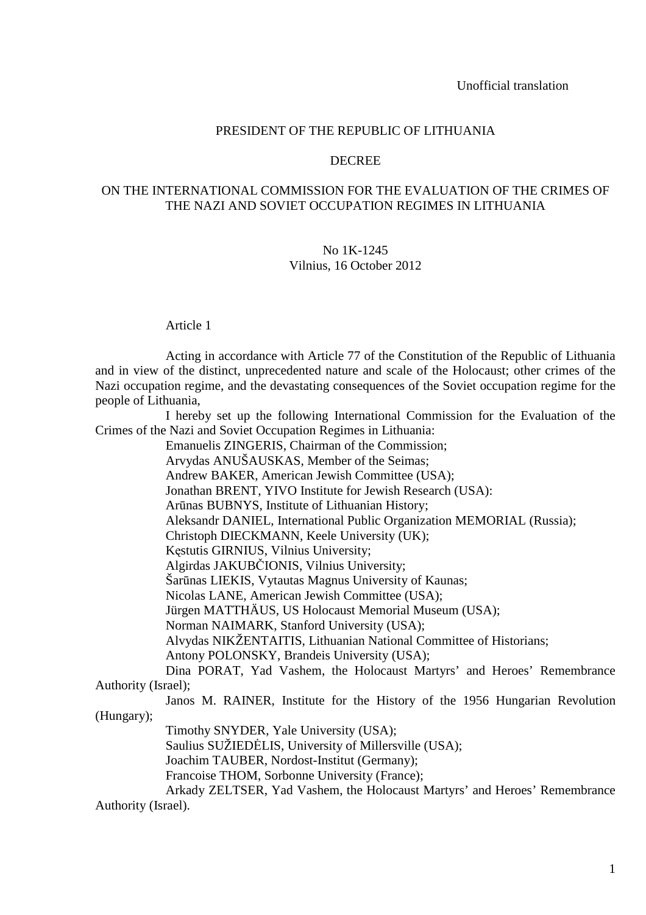### PRESIDENT OF THE REPUBLIC OF LITHUANIA

## DECREE

# ON THE INTERNATIONAL COMMISSION FOR THE EVALUATION OF THE CRIMES OF THE NAZI AND SOVIET OCCUPATION REGIMES IN LITHUANIA

#### No 1K-1245 Vilnius, 16 October 2012

#### Article 1

 Acting in accordance with Article 77 of the Constitution of the Republic of Lithuania and in view of the distinct, unprecedented nature and scale of the Holocaust; other crimes of the Nazi occupation regime, and the devastating consequences of the Soviet occupation regime for the people of Lithuania,

 I hereby set up the following International Commission for the Evaluation of the Crimes of the Nazi and Soviet Occupation Regimes in Lithuania:

Emanuelis ZINGERIS, Chairman of the Commission;

Arvydas ANUŠAUSKAS, Member of the Seimas;

Andrew BAKER, American Jewish Committee (USA);

Jonathan BRENT, YIVO Institute for Jewish Research (USA):

Arūnas BUBNYS, Institute of Lithuanian History;

Aleksandr DANIEL, International Public Organization MEMORIAL (Russia);

Christoph DIECKMANN, Keele University (UK);

Kęstutis GIRNIUS, Vilnius University;

Algirdas JAKUBČIONIS, Vilnius University;

Šarūnas LIEKIS, Vytautas Magnus University of Kaunas;

Nicolas LANE, American Jewish Committee (USA);

Jürgen MATTHÄUS, US Holocaust Memorial Museum (USA);

Norman NAIMARK, Stanford University (USA);

Alvydas NIKŽENTAITIS, Lithuanian National Committee of Historians;

Antony POLONSKY, Brandeis University (USA);

 Dina PORAT, Yad Vashem, the Holocaust Martyrs' and Heroes' Remembrance Authority (Israel);

 Janos M. RAINER, Institute for the History of the 1956 Hungarian Revolution (Hungary);

Timothy SNYDER, Yale University (USA);

Saulius SUŽIEDĖLIS, University of Millersville (USA);

Joachim TAUBER, Nordost-Institut (Germany);

Francoise THOM, Sorbonne University (France);

 Arkady ZELTSER, Yad Vashem, the Holocaust Martyrs' and Heroes' Remembrance Authority (Israel).